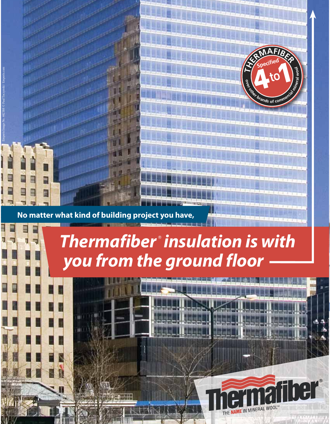

**No matter what kind of building project you have,**

Emporis Image No. 442388 © Paul Toczynski / Emporis.com

# *Thermafiber insulation is with you from the ground floor*

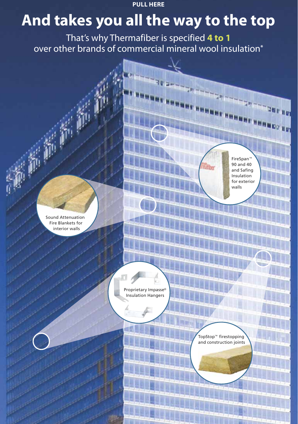**PULL HERE**

# **And takes you all the way to the top**

That's why Thermafiber is specified **4 to 1** over other brands of commercial mineral wool insulation**\***

Sound Attenuation Fire Blankets for interior walls

FireSpan 90 and 40 and Safing Insulation for exterior walls

Proprietary Impasse Insulation Hangers

> TopStop™ firestopping and construction joints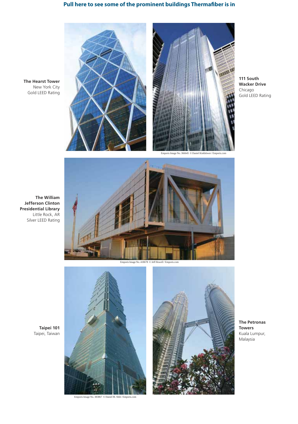## **Pull here to see some of the prominent buildings Thermafiber is in**

**The Hearst Tower** New York City Gold LEED Rating





**111 South Wacker Drive** Chicago Gold LEED Rating



**Taipei 101** Taipei, Taiwan



Emporis Image No. 418678 © Jeff Howell / Emporis.com



Emporis Image No. 383867 © Daniel M. Shih / Emporis.com



**The Petronas Towers** Kuala Lumpur, Malaysia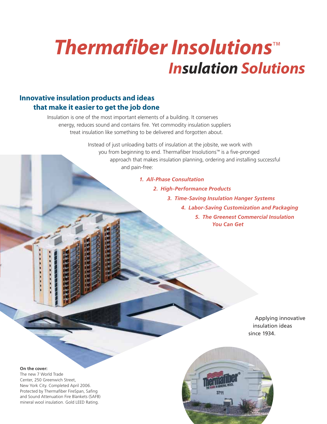# *Thermafiber Insolutions Insulation Solutions*

## **Innovative insulation products and ideas that make it easier to get the job done**

Insulation is one of the most important elements of a building. It conserves energy, reduces sound and contains fire. Yet commodity insulation suppliers treat insulation like something to be delivered and forgotten about.

> Instead of just unloading batts of insulation at the jobsite, we work with you from beginning to end. Thermafiber Insolutions<sup>™</sup> is a five-pronged approach that makes insulation planning, ordering and installing successful and pain-free:

#### *1. All-Phase Consultation*

*2. High-Performance Products*

- *3. Time-Saving Insulation Hanger Systems*
	- *4. Labor-Saving Customization and Packaging*

*5. The Greenest Commercial Insulation You Can Get*

> Applying innovative insulation ideas since 1934.

#### **On the cover:**

The new 7 World Trade Center, 250 Greenwich Street, New York City. Completed April 2006. Protected by Thermafiber FireSpan, Safing and Sound Attenuation Fire Blankets (SAFB) mineral wool insulation. Gold LEED Rating.

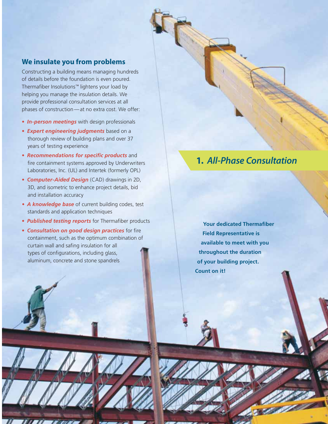#### **We insulate you from problems**

Constructing a building means managing hundreds of details before the foundation is even poured. Thermafiber Insolutions<sup>™</sup> lightens your load by helping you manage the insulation details. We provide professional consultation services at all phases of construction — at no extra cost. We offer:

- *In-person meetings* with design professionals
- *Expert engineering judgments* based on a thorough review of building plans and over 37 years of testing experience
- *Recommendations for specific products* and fire containment systems approved by Underwriters Laboratories, Inc. (UL) and Intertek (formerly OPL)
- *Computer-Aided Design* (CAD) drawings in 2D, 3D, and isometric to enhance project details, bid and installation accuracy
- *A knowledge base* of current building codes, test standards and application techniques
- *Published testing reports* for Thermafiber products
- *Consultation on good design practices* for fire containment, such as the optimum combination of curtain wall and safing insulation for all types of configurations, including glass, aluminum, concrete and stone spandrels

# **1.** *All-Phase Consultation*

**Your dedicated Thermafiber Field Representative is available to meet with you throughout the duration of your building project. Count on it!**

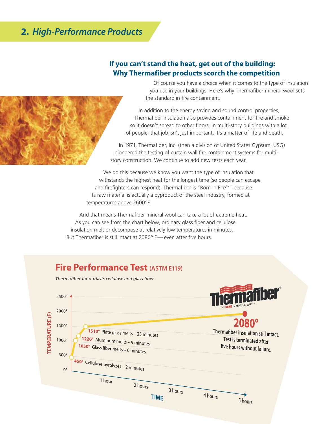# **2.** *High-Performance Products*

### **If you can't stand the heat, get out of the building: Why Thermafiber products scorch the competition**

 Of course you have a choice when it comes to the type of insulation you use in your buildings. Here's why Thermafiber mineral wool sets the standard in fire containment.

In addition to the energy saving and sound control properties, Thermafiber insulation also provides containment for fire and smoke so it doesn't spread to other floors. In multi-story buildings with a lot of people, that job isn't just important, it's a matter of life and death.

In 1971, Thermafiber, Inc. (then a division of United States Gypsum, USG) pioneered the testing of curtain wall fire containment systems for multistory construction. We continue to add new tests each year.

We do this because we know you want the type of insulation that withstands the highest heat for the longest time (so people can escape and firefighters can respond). Thermafiber is "Born in Fire™" because its raw material is actually a byproduct of the steel industry, formed at temperatures above 2600°F.

And that means Thermafiber mineral wool can take a lot of extreme heat. As you can see from the chart below, ordinary glass fiber and cellulose insulation melt or decompose at relatively low temperatures in minutes. But Thermafiber is still intact at 2080° F- even after five hours.

## **Fire Performance Test (ASTM E119)**

*Thermafi ber far outlasts cellulose and glass fi ber*



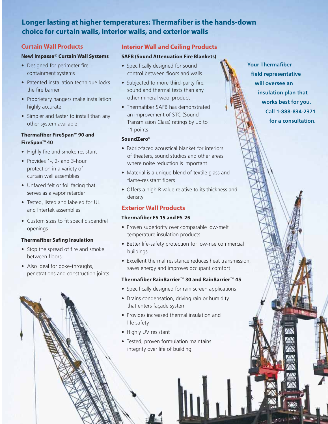## **Longer lasting at higher temperatures: Thermafiber is the hands-down choice for curtain walls, interior walls, and exterior walls**

#### **Curtain Wall Products**

#### **New! Impasse Curtain Wall Systems**

- Designed for perimeter fire containment systems
- Patented installation technique locks the fire barrier
- Proprietary hangers make installation highly accurate
- Simpler and faster to install than any other system available

#### **Thermafiber FireSpan™ 90 and FireSpan™ 40**

- Highly fire and smoke resistant
- Provides 1-, 2- and 3-hour protection in a variety of curtain wall assemblies
- Unfaced felt or foil facing that serves as a vapor retarder
- Tested, listed and labeled for UL and Intertek assemblies
- Custom sizes to fit specific spandrel openings

#### **Thermafiber Safing Insulation**

- Stop the spread of fire and smoke between floors
- Also ideal for poke-throughs, penetrations and construction joints

#### **Interior Wall and Ceiling Products**

#### **SAFB (Sound Attenuation Fire Blankets)**

- Specifically designed for sound control between floors and walls
- Subjected to more third-party fire, sound and thermal tests than any other mineral wool product
- Thermafiber SAFB has demonstrated an improvement of STC (Sound Transmission Class) ratings by up to 11 points

#### **SoundZero®**

- Fabric-faced acoustical blanket for interiors of theaters, sound studios and other areas where noise reduction is important
- Material is a unique blend of textile glass and flame-resistant fibers
- Offers a high R value relative to its thickness and density

#### **Exterior Wall Products**

#### **Thermafiber FS-15 and FS-25**

- Proven superiority over comparable low-melt temperature insulation products
- Better life-safety protection for low-rise commercial buildings
- Excellent thermal resistance reduces heat transmission, saves energy and improves occupant comfort

#### **Thermafiber RainBarrier 30 and RainBarrier 45**

- Specifically designed for rain screen applications
- Drains condensation, driving rain or humidity that enters façade system
- Provides increased thermal insulation and life safety
- Highly UV resistant
- Tested, proven formulation maintains integrity over life of building

**Your Thermafiber field representative will oversee an insulation plan that works best for you. Call 1-888-834-2371 for a consultation.**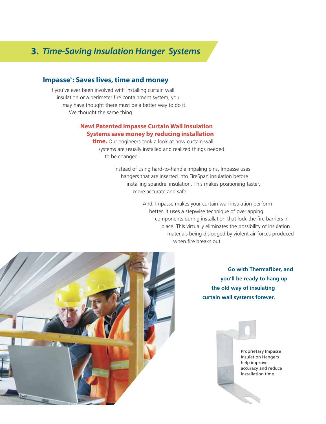# **3.** *Time-Saving Insulation Hanger Systems*

### **Impasse: Saves lives, time and money**

If you've ever been involved with installing curtain wall insulation or a perimeter fire containment system, you may have thought there must be a better way to do it. We thought the same thing.

#### **New! Patented Impasse Curtain Wall Insulation Systems save money by reducing installation**

**time.** Our engineers took a look at how curtain wall systems are usually installed and realized things needed to be changed.

> Instead of using hard-to-handle impaling pins, Impasse uses hangers that are inserted into FireSpan insulation before installing spandrel insulation. This makes positioning faster, more accurate and safe.

> > And, Impasse makes your curtain wall insulation perform better. It uses a stepwise technique of overlapping components during installation that lock the fire barriers in place. This virtually eliminates the possibility of insulation materials being dislodged by violent air forces produced when fire breaks out.



**Go with Thermafiber, and you'll be ready to hang up the old way of insulating curtain wall systems forever.**

> Proprietary Impasse Insulation Hangers help improve accuracy and reduce installation time.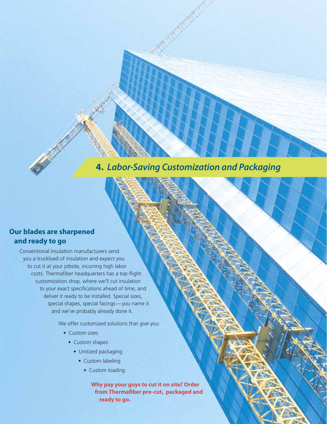**4.** *Labor-Saving Customization and Packaging*

## **Our blades are sharpened and ready to go**

Conventional insulation manufacturers send you a truckload of insulation and expect you to cut it at your jobsite, incurring high labor costs. Thermafiber headquarters has a top-flight customization shop, where we'll cut insulation to your exact specifications ahead of time, and deliver it ready to be installed. Special sizes, special shapes, special facings - you name it and we've probably already done it.

We offer customized solutions that give you:

- Custom sizes
	- Custom shapes
		- Unitized packaging
			- Custom labeling
				- Custom loading

**Why pay your guys to cut it on site? Order**  from Thermafiber pre-cut, packaged and **ready to go.**